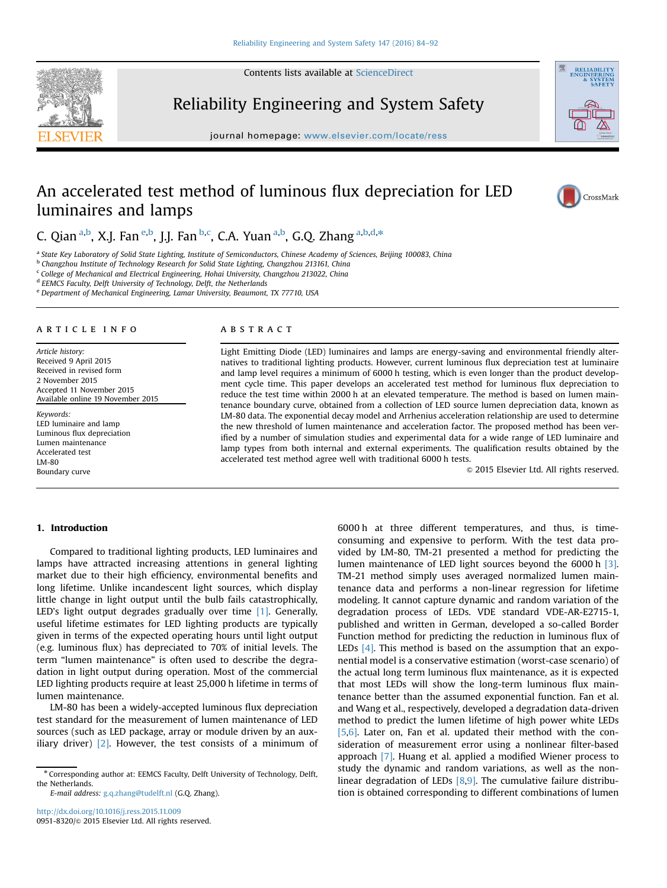Contents lists available at [ScienceDirect](www.sciencedirect.com/science/journal/09518320)



Reliability Engineering and System Safety

journal homepage: <www.elsevier.com/locate/ress>ervier.com/locate/resservier.com/locate/resservier.com/locate/resservier.com/locate/resservier.com/locate/resservier.com/locate/resservier.com/locate/resservier.com/locate/res



# An accelerated test method of luminous flux depreciation for LED luminaires and lamps



C. Qian <sup>a,b</sup>, X.J. Fan <sup>e,b</sup>, J.J. Fan <sup>b,c</sup>, C.A. Yuan <sup>a,b</sup>, G.Q. Zhang <sup>a,b,d,\*</sup>

a State Key Laboratory of Solid State Lighting, Institute of Semiconductors, Chinese Academy of Sciences, Beijing 100083, China

b Changzhou Institute of Technology Research for Solid State Lighting, Changzhou 213161, China

 $c$  College of Mechanical and Electrical Engineering, Hohai University, Changzhou 213022, China

<sup>d</sup> EEMCS Faculty, Delft University of Technology, Delft, the Netherlands

<sup>e</sup> Department of Mechanical Engineering, Lamar University, Beaumont, TX 77710, USA

#### article info

Article history: Received 9 April 2015 Received in revised form 2 November 2015 Accepted 11 November 2015 Available online 19 November 2015

Keywords: LED luminaire and lamp Luminous flux depreciation Lumen maintenance Accelerated test LM-80 Boundary curve

# **ABSTRACT**

Light Emitting Diode (LED) luminaires and lamps are energy-saving and environmental friendly alternatives to traditional lighting products. However, current luminous flux depreciation test at luminaire and lamp level requires a minimum of 6000 h testing, which is even longer than the product development cycle time. This paper develops an accelerated test method for luminous flux depreciation to reduce the test time within 2000 h at an elevated temperature. The method is based on lumen maintenance boundary curve, obtained from a collection of LED source lumen depreciation data, known as LM-80 data. The exponential decay model and Arrhenius acceleration relationship are used to determine the new threshold of lumen maintenance and acceleration factor. The proposed method has been verified by a number of simulation studies and experimental data for a wide range of LED luminaire and lamp types from both internal and external experiments. The qualification results obtained by the accelerated test method agree well with traditional 6000 h tests.

 $© 2015 Elsevier Ltd. All rights reserved.$ 

## 1. Introduction

Compared to traditional lighting products, LED luminaires and lamps have attracted increasing attentions in general lighting market due to their high efficiency, environmental benefits and long lifetime. Unlike incandescent light sources, which display little change in light output until the bulb fails catastrophically, LED's light output degrades gradually over time [1]. Generally, useful lifetime estimates for LED lighting products are typically given in terms of the expected operating hours until light output (e.g. luminous flux) has depreciated to 70% of initial levels. The term "lumen maintenance" is often used to describe the degradation in light output during operation. Most of the commercial LED lighting products require at least 25,000 h lifetime in terms of lumen maintenance.

LM-80 has been a widely-accepted luminous flux depreciation test standard for the measurement of lumen maintenance of LED sources (such as LED package, array or module driven by an auxiliary driver)  $[2]$ . However, the test consists of a minimum of

E-mail address: [g.q.zhang@tudelft.nl](mailto:g.q.zhang@tudelft.nl) (G.Q. Zhang).

6000 h at three different temperatures, and thus, is timeconsuming and expensive to perform. With the test data provided by LM-80, TM-21 presented a method for predicting the lumen maintenance of LED light sources beyond the 6000 h [3]. TM-21 method simply uses averaged normalized lumen maintenance data and performs a non-linear regression for lifetime modeling. It cannot capture dynamic and random variation of the degradation process of LEDs. VDE standard VDE-AR-E2715-1, published and written in German, developed a so-called Border Function method for predicting the reduction in luminous flux of LEDs [4]. This method is based on the assumption that an exponential model is a conservative estimation (worst-case scenario) of the actual long term luminous flux maintenance, as it is expected that most LEDs will show the long-term luminous flux maintenance better than the assumed exponential function. Fan et al. and Wang et al., respectively, developed a degradation data-driven method to predict the lumen lifetime of high power white LEDs [5,6]. Later on, Fan et al. updated their method with the consideration of measurement error using a nonlinear filter-based approach [7]. Huang et al. applied a modified Wiener process to study the dynamic and random variations, as well as the nonlinear degradation of LEDs [8,9]. The cumulative failure distribution is obtained corresponding to different combinations of lumen

<sup>\*</sup> Corresponding author at: EEMCS Faculty, Delft University of Technology, Delft, the Netherlands.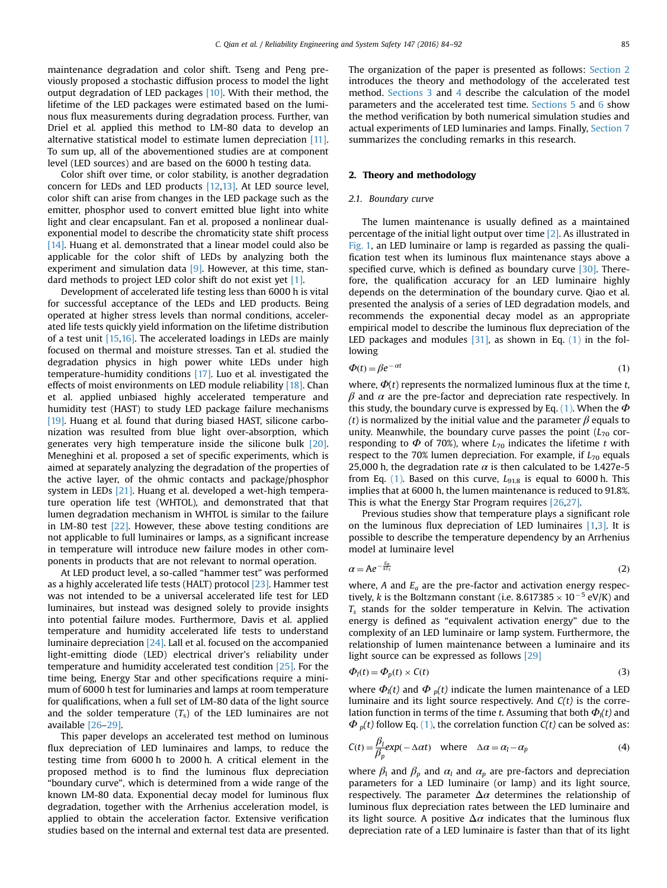maintenance degradation and color shift. Tseng and Peng previously proposed a stochastic diffusion process to model the light output degradation of LED packages [10]. With their method, the lifetime of the LED packages were estimated based on the luminous flux measurements during degradation process. Further, van Driel et al. applied this method to LM-80 data to develop an alternative statistical model to estimate lumen depreciation [11]. To sum up, all of the abovementioned studies are at component level (LED sources) and are based on the 6000 h testing data.

Color shift over time, or color stability, is another degradation concern for LEDs and LED products [12,13]. At LED source level, color shift can arise from changes in the LED package such as the emitter, phosphor used to convert emitted blue light into white light and clear encapsulant. Fan et al. proposed a nonlinear dualexponential model to describe the chromaticity state shift process [14]. Huang et al. demonstrated that a linear model could also be applicable for the color shift of LEDs by analyzing both the experiment and simulation data [9]. However, at this time, standard methods to project LED color shift do not exist yet [1].

Development of accelerated life testing less than 6000 h is vital for successful acceptance of the LEDs and LED products. Being operated at higher stress levels than normal conditions, accelerated life tests quickly yield information on the lifetime distribution of a test unit [15,16]. The accelerated loadings in LEDs are mainly focused on thermal and moisture stresses. Tan et al. studied the degradation physics in high power white LEDs under high temperature-humidity conditions [17]. Luo et al. investigated the effects of moist environments on LED module reliability [18]. Chan et al. applied unbiased highly accelerated temperature and humidity test (HAST) to study LED package failure mechanisms [19]. Huang et al. found that during biased HAST, silicone carbonization was resulted from blue light over-absorption, which generates very high temperature inside the silicone bulk [20]. Meneghini et al. proposed a set of specific experiments, which is aimed at separately analyzing the degradation of the properties of the active layer, of the ohmic contacts and package/phosphor system in LEDs [21]. Huang et al. developed a wet-high temperature operation life test (WHTOL), and demonstrated that that lumen degradation mechanism in WHTOL is similar to the failure in LM-80 test [22]. However, these above testing conditions are not applicable to full luminaires or lamps, as a significant increase in temperature will introduce new failure modes in other components in products that are not relevant to normal operation.

At LED product level, a so-called "hammer test" was performed as a highly accelerated life tests (HALT) protocol [23]. Hammer test was not intended to be a universal accelerated life test for LED luminaires, but instead was designed solely to provide insights into potential failure modes. Furthermore, Davis et al. applied temperature and humidity accelerated life tests to understand luminaire depreciation [24]. Lall et al. focused on the accompanied light-emitting diode (LED) electrical driver's reliability under temperature and humidity accelerated test condition [25]. For the time being, Energy Star and other specifications require a minimum of 6000 h test for luminaries and lamps at room temperature for qualifications, when a full set of LM-80 data of the light source and the solder temperature  $(T<sub>s</sub>)$  of the LED luminaires are not available [26–29].

This paper develops an accelerated test method on luminous flux depreciation of LED luminaires and lamps, to reduce the testing time from 6000 h to 2000 h. A critical element in the proposed method is to find the luminous flux depreciation "boundary curve", which is determined from a wide range of the known LM-80 data. Exponential decay model for luminous flux degradation, together with the Arrhenius acceleration model, is applied to obtain the acceleration factor. Extensive verification studies based on the internal and external test data are presented. The organization of the paper is presented as follows: Section 2 introduces the theory and methodology of the accelerated test method. Sections 3 and 4 describe the calculation of the model parameters and the accelerated test time. Sections 5 and 6 show the method verification by both numerical simulation studies and actual experiments of LED luminaries and lamps. Finally, Section 7 summarizes the concluding remarks in this research.

#### 2. Theory and methodology

### 2.1. Boundary curve

The lumen maintenance is usually defined as a maintained percentage of the initial light output over time [2]. As illustrated in Fig. 1, an LED luminaire or lamp is regarded as passing the qualification test when its luminous flux maintenance stays above a specified curve, which is defined as boundary curve [30]. Therefore, the qualification accuracy for an LED luminaire highly depends on the determination of the boundary curve. Qiao et al. presented the analysis of a series of LED degradation models, and recommends the exponential decay model as an appropriate empirical model to describe the luminous flux depreciation of the LED packages and modules  $[31]$ , as shown in Eq.  $(1)$  in the following

$$
\Phi(t) = \beta e^{-\alpha t} \tag{1}
$$

where,  $\Phi(t)$  represents the normalized luminous flux at the time t,  $β$  and  $α$  are the pre-factor and depreciation rate respectively. In this study, the boundary curve is expressed by Eq. (1). When the  $\Phi$ (t) is normalized by the initial value and the parameter  $\beta$  equals to unity. Meanwhile, the boundary curve passes the point  $(L_{70}$  corresponding to  $\Phi$  of 70%), where  $L_{70}$  indicates the lifetime t with respect to the 70% lumen depreciation. For example, if  $L_{70}$  equals 25,000 h, the degradation rate  $\alpha$  is then calculated to be 1.427e-5 from Eq. (1). Based on this curve,  $L_{91.8}$  is equal to 6000 h. This implies that at 6000 h, the lumen maintenance is reduced to 91.8%. This is what the Energy Star Program requires [26,27].

Previous studies show that temperature plays a significant role on the luminous flux depreciation of LED luminaires [1,3]. It is possible to describe the temperature dependency by an Arrhenius model at luminaire level

$$
\alpha = Ae^{-\frac{E_a}{kT_s}}
$$
 (2)

where, A and  $E_a$  are the pre-factor and activation energy respectively, k is the Boltzmann constant (i.e.  $8.617385 \times 10^{-5}$  eV/K) and  $T<sub>s</sub>$  stands for the solder temperature in Kelvin. The activation energy is defined as "equivalent activation energy" due to the complexity of an LED luminaire or lamp system. Furthermore, the relationship of lumen maintenance between a luminaire and its light source can be expressed as follows [29]

$$
\Phi_l(t) = \Phi_p(t) \times C(t) \tag{3}
$$

where  $\Phi_{\parallel}(t)$  and  $\Phi_{p}(t)$  indicate the lumen maintenance of a LED luminaire and its light source respectively. And  $C(t)$  is the correlation function in terms of the time t. Assuming that both  $\Phi_{\parallel}(t)$  and  $\Phi_{p}(t)$  follow Eq. (1), the correlation function  $C(t)$  can be solved as:

$$
C(t) = \frac{\beta_l}{\beta_p} \exp(-\Delta \alpha t) \quad \text{where} \quad \Delta \alpha = \alpha_l - \alpha_p \tag{4}
$$

where  $\beta_1$  and  $\beta_p$  and  $\alpha_l$  and  $\alpha_p$  are pre-factors and depreciation parameters for a LED luminaire (or lamp) and its light source, respectively. The parameter  $\Delta \alpha$  determines the relationship of luminous flux depreciation rates between the LED luminaire and its light source. A positive  $\Delta \alpha$  indicates that the luminous flux depreciation rate of a LED luminaire is faster than that of its light